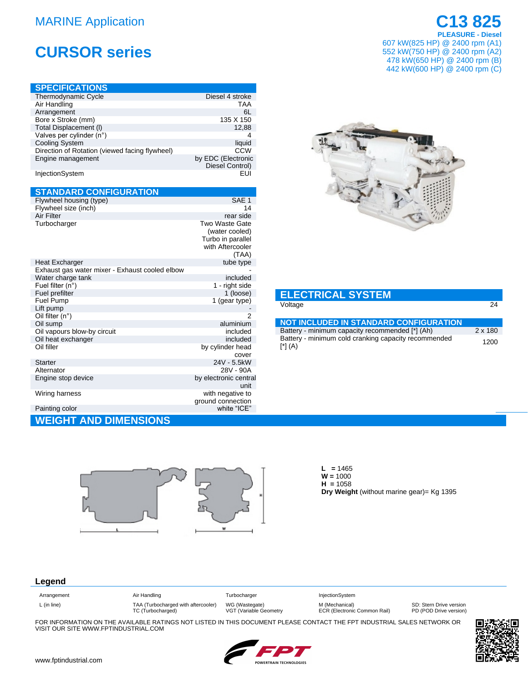### **MARINE Application**

# **CURSOR series**

| <b>SPECIFICATIONS</b>                          |                    |
|------------------------------------------------|--------------------|
| Thermodynamic Cycle                            | Diesel 4 stroke    |
| Air Handling                                   | <b>TAA</b>         |
| Arrangement                                    | 6L                 |
| Bore x Stroke (mm)                             | 135 X 150          |
| Total Displacement (I)                         | 12,88              |
| Valves per cylinder (n°)                       | 4                  |
| <b>Cooling System</b>                          | liquid             |
| Direction of Rotation (viewed facing flywheel) | CCW                |
| Engine management                              | by EDC (Electronic |
|                                                | Diesel Control)    |
| InjectionSystem                                | FUI                |
|                                                |                    |

| <b>STANDARD CONFIGURATION</b>                  |                                       |
|------------------------------------------------|---------------------------------------|
| Flywheel housing (type)                        | SAE <sub>1</sub>                      |
| Flywheel size (inch)                           | 14                                    |
| Air Filter                                     | rear side                             |
| Turbocharger                                   | Two Waste Gate                        |
|                                                | (water cooled)                        |
|                                                | Turbo in parallel<br>with Aftercooler |
|                                                | (TAA)                                 |
| Heat Excharger                                 | tube type                             |
| Exhaust gas water mixer - Exhaust cooled elbow |                                       |
| Water charge tank                              | included                              |
| Fuel filter (n°)                               | 1 - right side                        |
| Fuel prefilter                                 | 1 (loose)                             |
| <b>Fuel Pump</b>                               | 1 (gear type)                         |
| Lift pump                                      |                                       |
| Oil filter (n°)                                | 2                                     |
| Oil sump                                       | aluminium                             |
| Oil vapours blow-by circuit                    | included<br>included                  |
| Oil heat exchanger<br>Oil filler               | by cylinder head                      |
|                                                | cover                                 |
| Starter                                        | 24V - 5.5kW                           |
| Alternator                                     | 28V - 90A                             |
| Engine stop device                             | by electronic central                 |
|                                                | unit                                  |
| Wiring harness                                 | with negative to                      |
|                                                | ground connection                     |
| Painting color                                 | white "ICE"                           |
| <b>WEIGHT AND DIMENSIONS</b>                   |                                       |

## C<sub>13</sub>825 **PLEASURE - Diesel**

607 kW(825 HP) @ 2400 rpm (A1) 552 kW(750 HP) @ 2400 rpm (A2) 478 kW(650 HP) @ 2400 rpm (B)<br>442 kW(600 HP) @ 2400 rpm (C)



| <b>ELECTRICAL SYSTEM</b> |  |
|--------------------------|--|
| Voltage                  |  |

| <b>NOT INCLUDED IN STANDARD CONFIGURATION</b>                                      |         |
|------------------------------------------------------------------------------------|---------|
| Battery - minimum capacity recommended [*] (Ah)                                    | 2 x 180 |
| Battery - minimum cold cranking capacity recommended<br>$[$ <sup>*</sup> $]$ $(A)$ | 1200    |



 $L = 1465$  $W = 1000$  $H = 1058$ Dry Weight (without marine gear)= Kg 1395

### Legend

| Arrangement   |  |  |  |
|---------------|--|--|--|
| $L$ (in line) |  |  |  |

Air Handling TAA (Turbocharged with aftercooler)<br>TC (Turbocharged) Turbocharger WG (Wastegate)<br>VGT (Variable Geometry

InjectionSystem M (Mechanical)<br>ECR (Electronic Common Rail)

SD: Stern Drive version<br>PD (POD Drive version)

FOR INFORMATION ON THE AVAILABLE RATINGS NOT LISTED IN THIS DOCUMENT PLEASE CONTACT THE FPT INDUSTRIAL SALES NETWORK OR VISIT OUR SITE WWW.FPTINDUSTRIAL.COM



 $\overline{24}$